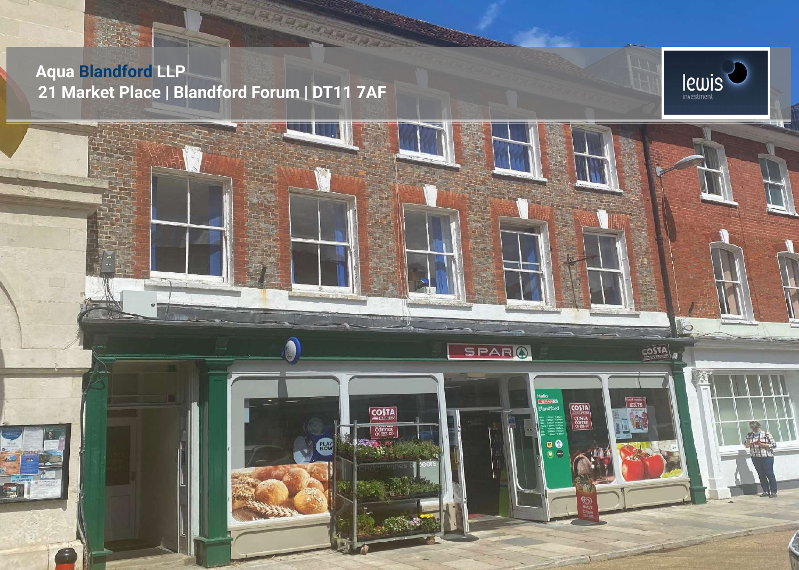### **Aqua Blandford LLP 21 Market Place | Blandford Forum | DT11 7AF**

SARDON SER



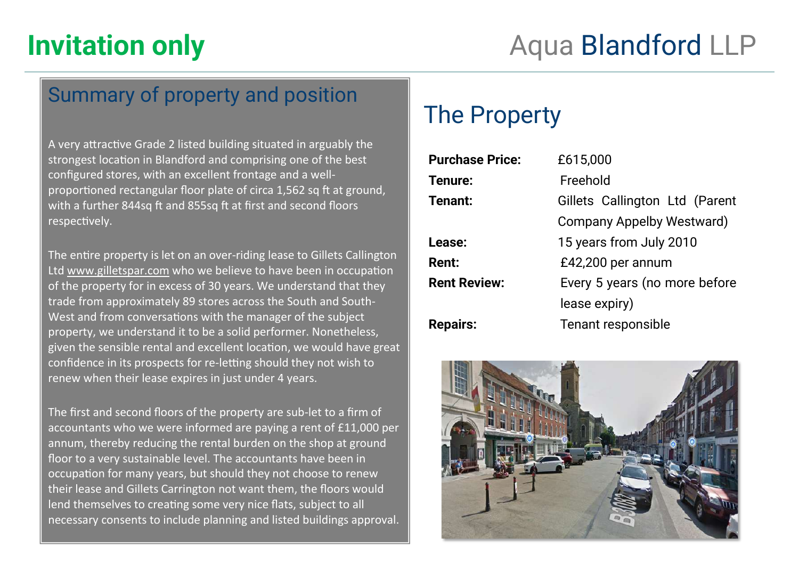### Summary of property and position

A very attractive Grade 2 listed building situated in arguably the strongest location in Blandford and comprising one of the best configured stores, with an excellent frontage and a wellproportioned rectangular floor plate of circa 1,562 sq ft at ground, with a further 844sq ft and 855sq ft at first and second floors respectively.

The entire property is let on an over-riding lease to Gillets Callington Ltd [www.gilletspar.com](http://www.gilletspar.com) who we believe to have been in occupation of the property for in excess of 30 years. We understand that they trade from approximately 89 stores across the South and South-West and from conversations with the manager of the subject property, we understand it to be a solid performer. Nonetheless, given the sensible rental and excellent location, we would have great confidence in its prospects for re-letting should they not wish to renew when their lease expires in just under 4 years.

The first and second floors of the property are sub-let to a firm of accountants who we were informed are paying a rent of £11,000 per annum, thereby reducing the rental burden on the shop at ground floor to a very sustainable level. The accountants have been in occupation for many years, but should they not choose to renew their lease and Gillets Carrington not want them, the floors would lend themselves to creating some very nice flats, subject to all necessary consents to include planning and listed buildings approval.

## The Property

| <b>Purchase Price:</b> | £615,000                       |  |
|------------------------|--------------------------------|--|
| Tenure:                | Freehold                       |  |
| Tenant:                | Gillets Callington Ltd (Parent |  |
|                        | Company Appelby Westward)      |  |
| Lease:                 | 15 years from July 2010        |  |
| Rent:                  | £42,200 per annum              |  |
| <b>Rent Review:</b>    | Every 5 years (no more before  |  |
|                        | lease expiry)                  |  |
| <b>Repairs:</b>        | Tenant responsible             |  |
|                        |                                |  |

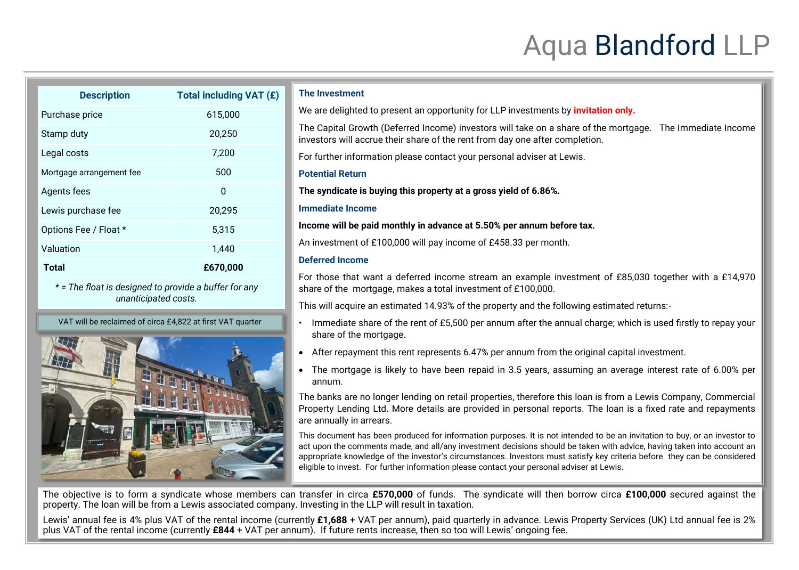# Aqua Blandford LLP

| <b>Description</b>                                                            | Total including VAT (£) |  |
|-------------------------------------------------------------------------------|-------------------------|--|
| Purchase price                                                                | 615,000                 |  |
| Stamp duty                                                                    | 20,250                  |  |
| Legal costs                                                                   | 7,200                   |  |
| Mortgage arrangement fee                                                      | 500                     |  |
| Agents fees                                                                   | 0                       |  |
| Lewis purchase fee                                                            | 20,295                  |  |
| Options Fee / Float *                                                         | 5,315                   |  |
| Valuation                                                                     | 1,440                   |  |
| Total                                                                         | £670,000                |  |
| * = The float is designed to provide a buffer for any<br>unanticipated costs. |                         |  |

VAT will be reclaimed of circa £4,822 at first VAT quarter



#### **The Investment**

We are delighted to present an opportunity for LLP investments by *invitation only.* 

The Capital Growth (Deferred Income) investors will take on a share of the mortgage. The Immediate Income investors will accrue their share of the rent from day one after completion.

For further information please contact your personal adviser at Lewis.

#### **Potential Return**

**The syndicate is buying this property at a gross yield of 6.86%.** 

#### **Immediate Income**

**Income will be paid monthly in advance at 5.50% per annum before tax.** 

An investment of £100,000 will pay income of £458.33 per month.

### **Deferred Income**

For those that want a deferred income stream an example investment of £85,030 together with a £14,970 share of the mortgage, makes a total investment of £100,000.

This will acquire an estimated 14.93% of the property and the following estimated returns:-

- Immediate share of the rent of £5,500 per annum after the annual charge; which is used firstly to repay your share of the mortgage.
- After repayment this rent represents 6.47% per annum from the original capital investment.
- The mortgage is likely to have been repaid in 3.5 years, assuming an average interest rate of 6.00% per annum.

The banks are no longer lending on retail properties, therefore this loan is from a Lewis Company, Commercial Property Lending Ltd. More details are provided in personal reports. The loan is a fixed rate and repayments are annually in arrears.

This document has been produced for information purposes. It is not intended to be an invitation to buy, or an investor to act upon the comments made, and all/any investment decisions should be taken with advice, having taken into account an appropriate knowledge of the investor's circumstances. Investors must satisfy key criteria before they can be considered eligible to invest. For further information please contact your personal adviser at Lewis.

The objective is to form a syndicate whose members can transfer in circa **£570,000** of funds. The syndicate will then borrow circa **£100,000** secured against the property. The loan will be from a Lewis associated company. Investing in the LLP will result in taxation.

Lewis' annual fee is 4% plus VAT of the rental income (currently **£1,688** + VAT per annum), paid quarterly in advance. Lewis Property Services (UK) Ltd annual fee is 2% plus VAT of the rental income (currently **£844** + VAT per annum). If future rents increase, then so too will Lewis' ongoing fee.